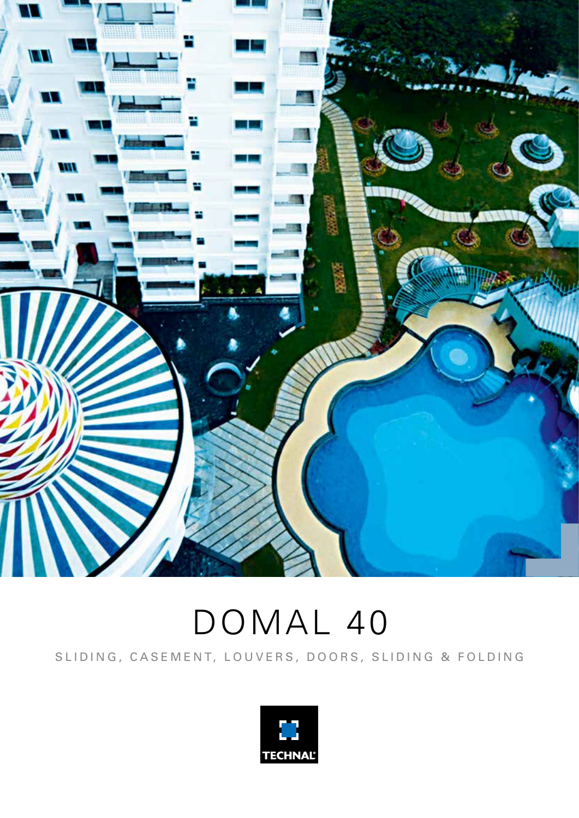

# DOMAL 40

SLIDING, CASEMENT, LOUVERS, DOORS, SLIDING & FOLDING

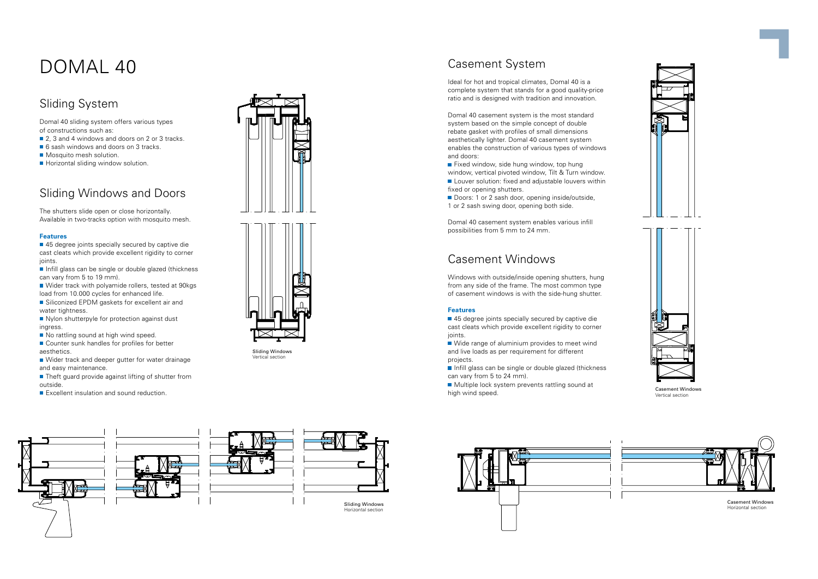## DOMAL 40

## Sliding System

Domal 40 sliding system offers various types of constructions such as:

- 2, 3 and 4 windows and doors on 2 or 3 tracks.
- 6 sash windows and doors on 3 tracks.
- Mosquito mesh solution.
- Horizontal sliding window solution.

■ 45 degree joints specially secured by captive die cast cleats which provide excellent rigidity to corner joints.

## Sliding Windows and Doors

Infill glass can be single or double glazed (thickness can vary from 5 to 19 mm).

- Wider track with polyamide rollers, tested at 90kgs load from 10.000 cycles for enhanced life.
- Siliconized EPDM gaskets for excellent air and water tightness.
- Nylon shutterpyle for protection against dust ingress.
- No rattling sound at high wind speed.
- Counter sunk handles for profiles for better aesthetics.
- Wider track and deeper gutter for water drainage and easy maintenance.
- Theft guard provide against lifting of shutter from outside.
- Excellent insulation and sound reduction.





The shutters slide open or close horizontally. Available in two-tracks option with mosquito mesh.

#### **Features**

 $\blacksquare$  Fixed window, side hung window, top hung window, vertical pivoted window, Tilt & Turn window. Louver solution: fixed and adjustable louvers within fixed or opening shutters.

Doors: 1 or 2 sash door, opening inside/outside, 1 or 2 sash swing door, opening both side.



■ 45 degree joints specially secured by captive die cast cleats which provide excellent rigidity to corner joints.







Wide range of aluminium provides to meet wind and live loads as per requirement for different projects.

 $\blacksquare$  Infill glass can be single or double glazed (thickness can vary from 5 to 24 mm).

Multiple lock system prevents rattling sound at — Mattipuo Isotic System provento ratting sound at<br>high wind speed. Casement Windows high wind speed.

Ideal for hot and tropical climates, Domal 40 is a complete system that stands for a good quality-price ratio and is designed with tradition and innovation.

Domal 40 casement system is the most standard system based on the simple concept of double rebate gasket with profiles of small dimensions aesthetically lighter. Domal 40 casement system enables the construction of various types of windows and doors:

Domal 40 casement system enables various infill possibilities from 5 mm to 24 mm.

## Casement Windows

Windows with outside/inside opening shutters, hung from any side of the frame. The most common type of casement windows is with the side-hung shutter.

#### **Features**



Vertical section



Casement Windows Horizontal section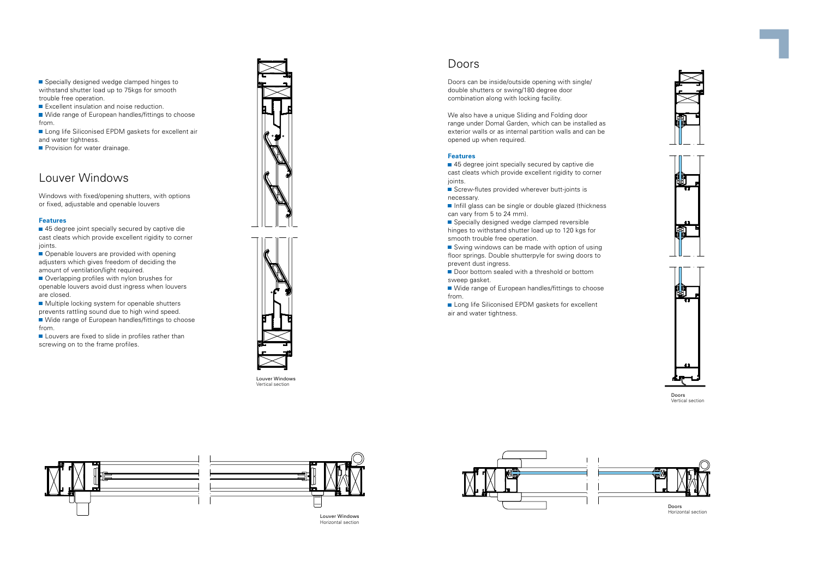Specially designed wedge clamped hinges to withstand shutter load up to 75 kgs for smooth trouble free operation.

Excellent insulation and noise reduction.

■ Wide range of European handles/fittings to choose from.

Long life Siliconised EPDM gaskets for excellent air and water tightness.

 $\blacksquare$  Provision for water drainage.

■ 45 degree joint specially secured by captive die cast cleats which provide excellent rigidity to corner joints.

#### Louver Windows

Openable louvers are provided with opening adjusters which gives freedom of deciding the amount of ventilation/light required.

Windows with fixed/opening shutters, with options or fixed, adjustable and openable louvers

Overlapping profiles with nylon brushes for openable louvers avoid dust ingress when louvers are closed.

#### **Features**

Multiple locking system for openable shutters prevents rattling sound due to high wind speed.

Wide range of European handles/fittings to choose from.

Louvers are fixed to slide in profiles rather than screwing on to the frame profiles.





■ 45 degree joint specially secured by captive die cast cleats which provide excellent rigidity to corner joints.

■ Screw-flutes provided wherever butt-joints is necessary.

Infill glass can be single or double glazed (thickness can vary from 5 to 24 mm).

Specially designed wedge clamped reversible hinges to withstand shutter load up to 120 kgs for smooth trouble free operation.

■ Swing windows can be made with option of using floor springs. Double shutterpyle for swing doors to prevent dust ingress.

Door bottom sealed with a threshold or bottom sweep gasket.

Wide range of European handles/fittings to choose from.

Louver Windows Vertical section

Long life Siliconised EPDM gaskets for excellent air and water tightness.





Louver Windows Horizontal section

### Doors

Doors can be inside/outside opening with single/ double shutters or swing/180 degree door combination along with locking facility.

We also have a unique Sliding and Folding door range under Domal Garden, which can be installed as exterior walls or as internal partition walls and can be opened up when required.

#### **Features**







Doors Horizontal section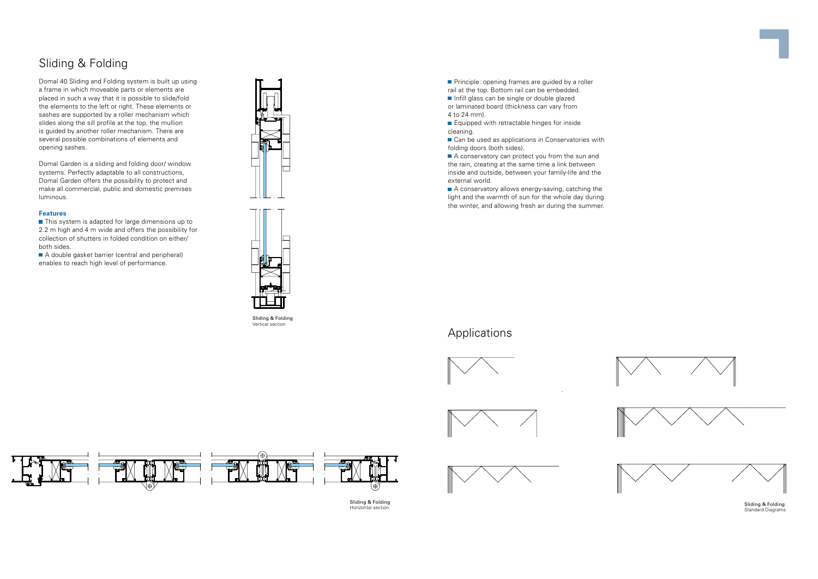#### Applications









## Sliding & Folding

Domal 40 Sliding and Folding system is built up using a frame in which moveable parts or elements are placed in such a way that it is possible to slide/fold the elements to the left or right. These elements or sashes are supported by a roller mechanism which slides along the sill profile at the top, the mullion is guided by another roller mechanism. There are several possible combinations of elements and opening sashes.

 $\blacksquare$  This system is adapted for large dimensions up to 2.2 m high and 4 m wide and offers the possibility for collection of shutters in folded condition on either/ both sides.

A double gasket barrier (central and peripheral) enables to reach high level of performance.





**Principle: opening frames are guided by a roller** rail at the top. Bottom rail can be embedded.

Domal Garden is a sliding and folding door/ window systems. Perfectly adaptable to all constructions, Domal Garden offers the possibility to protect and make all commercial, public and domestic premises luminous.

 $\blacksquare$  Infill glass can be single or double glazed or laminated board (thickness can vary from 4 to 24 mm).

■ Equipped with retractable hinges for inside cleaning.

■ Can be used as applications in Conservatories with folding doors (both sides).

#### **Features**

A conservatory can protect you from the sun and the rain, creating at the same time a link between inside and outside, between your family-life and the external world.

A conservatory allows energy-saving, catching the light and the warmth of sun for the whole day during the winter, and allowing fresh air during the summer.

Sliding & Folding Vertical section



Sliding & Folding Horizontal section